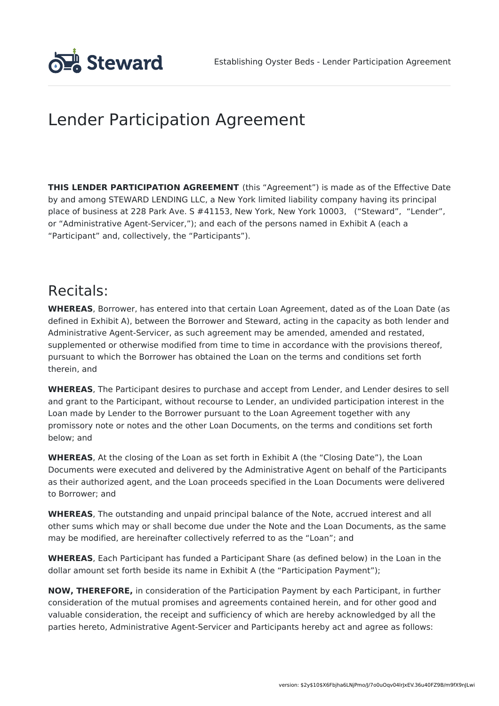

# Lender Participation Agreement

**THIS LENDER PARTICIPATION AGREEMENT** (this "Agreement") is made as of the Effective Date by and among STEWARD LENDING LLC, a New York limited liability company having its principal place of business at 228 Park Ave. S #41153, New York, New York 10003, ("Steward", "Lender", or "Administrative Agent-Servicer,"); and each of the persons named in Exhibit A (each a "Participant" and, collectively, the "Participants").

### Recitals:

**WHEREAS**, Borrower, has entered into that certain Loan Agreement, dated as of the Loan Date (as defined in Exhibit A), between the Borrower and Steward, acting in the capacity as both lender and Administrative Agent-Servicer, as such agreement may be amended, amended and restated, supplemented or otherwise modified from time to time in accordance with the provisions thereof, pursuant to which the Borrower has obtained the Loan on the terms and conditions set forth therein, and

**WHEREAS**, The Participant desires to purchase and accept from Lender, and Lender desires to sell and grant to the Participant, without recourse to Lender, an undivided participation interest in the Loan made by Lender to the Borrower pursuant to the Loan Agreement together with any promissory note or notes and the other Loan Documents, on the terms and conditions set forth below; and

**WHEREAS**, At the closing of the Loan as set forth in Exhibit A (the "Closing Date"), the Loan Documents were executed and delivered by the Administrative Agent on behalf of the Participants as their authorized agent, and the Loan proceeds specified in the Loan Documents were delivered to Borrower; and

**WHEREAS**, The outstanding and unpaid principal balance of the Note, accrued interest and all other sums which may or shall become due under the Note and the Loan Documents, as the same may be modified, are hereinafter collectively referred to as the "Loan"; and

**WHEREAS**, Each Participant has funded a Participant Share (as defined below) in the Loan in the dollar amount set forth beside its name in Exhibit A (the "Participation Payment");

**NOW, THEREFORE,** in consideration of the Participation Payment by each Participant, in further consideration of the mutual promises and agreements contained herein, and for other good and valuable consideration, the receipt and sufficiency of which are hereby acknowledged by all the parties hereto, Administrative Agent-Servicer and Participants hereby act and agree as follows: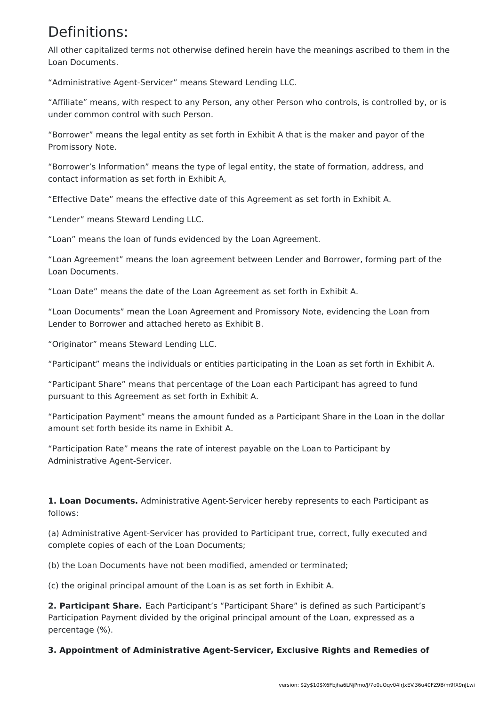## Definitions:

All other capitalized terms not otherwise defined herein have the meanings ascribed to them in the Loan Documents.

"Administrative Agent-Servicer" means Steward Lending LLC.

"Affiliate" means, with respect to any Person, any other Person who controls, is controlled by, or is under common control with such Person.

"Borrower" means the legal entity as set forth in Exhibit A that is the maker and payor of the Promissory Note.

"Borrower's Information" means the type of legal entity, the state of formation, address, and contact information as set forth in Exhibit A,

"Effective Date" means the effective date of this Agreement as set forth in Exhibit A.

"Lender" means Steward Lending LLC.

"Loan" means the loan of funds evidenced by the Loan Agreement.

"Loan Agreement" means the loan agreement between Lender and Borrower, forming part of the Loan Documents.

"Loan Date" means the date of the Loan Agreement as set forth in Exhibit A.

"Loan Documents" mean the Loan Agreement and Promissory Note, evidencing the Loan from Lender to Borrower and attached hereto as Exhibit B.

"Originator" means Steward Lending LLC.

"Participant" means the individuals or entities participating in the Loan as set forth in Exhibit A.

"Participant Share" means that percentage of the Loan each Participant has agreed to fund pursuant to this Agreement as set forth in Exhibit A.

"Participation Payment" means the amount funded as a Participant Share in the Loan in the dollar amount set forth beside its name in Exhibit A.

"Participation Rate" means the rate of interest payable on the Loan to Participant by Administrative Agent-Servicer.

**1. Loan Documents.** Administrative Agent-Servicer hereby represents to each Participant as follows:

(a) Administrative Agent-Servicer has provided to Participant true, correct, fully executed and complete copies of each of the Loan Documents;

(b) the Loan Documents have not been modified, amended or terminated;

(c) the original principal amount of the Loan is as set forth in Exhibit A.

**2. Participant Share.** Each Participant's "Participant Share" is defined as such Participant's Participation Payment divided by the original principal amount of the Loan, expressed as a percentage (%).

**3. Appointment of Administrative Agent-Servicer, Exclusive Rights and Remedies of**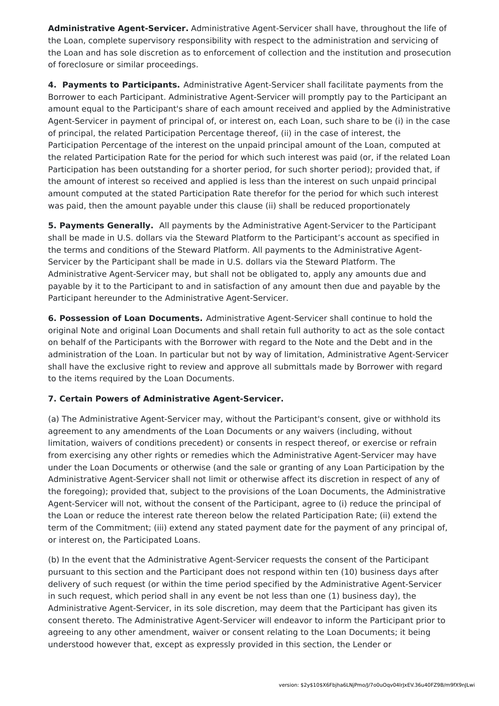**Administrative Agent-Servicer.** Administrative Agent-Servicer shall have, throughout the life of the Loan, complete supervisory responsibility with respect to the administration and servicing of the Loan and has sole discretion as to enforcement of collection and the institution and prosecution of foreclosure or similar proceedings.

**4. Payments to Participants.** Administrative Agent-Servicer shall facilitate payments from the Borrower to each Participant. Administrative Agent-Servicer will promptly pay to the Participant an amount equal to the Participant's share of each amount received and applied by the Administrative Agent-Servicer in payment of principal of, or interest on, each Loan, such share to be (i) in the case of principal, the related Participation Percentage thereof, (ii) in the case of interest, the Participation Percentage of the interest on the unpaid principal amount of the Loan, computed at the related Participation Rate for the period for which such interest was paid (or, if the related Loan Participation has been outstanding for a shorter period, for such shorter period); provided that, if the amount of interest so received and applied is less than the interest on such unpaid principal amount computed at the stated Participation Rate therefor for the period for which such interest was paid, then the amount payable under this clause (ii) shall be reduced proportionately

**5. Payments Generally.** All payments by the Administrative Agent-Servicer to the Participant shall be made in U.S. dollars via the Steward Platform to the Participant's account as specified in the terms and conditions of the Steward Platform. All payments to the Administrative Agent-Servicer by the Participant shall be made in U.S. dollars via the Steward Platform. The Administrative Agent-Servicer may, but shall not be obligated to, apply any amounts due and payable by it to the Participant to and in satisfaction of any amount then due and payable by the Participant hereunder to the Administrative Agent-Servicer.

**6. Possession of Loan Documents.** Administrative Agent-Servicer shall continue to hold the original Note and original Loan Documents and shall retain full authority to act as the sole contact on behalf of the Participants with the Borrower with regard to the Note and the Debt and in the administration of the Loan. In particular but not by way of limitation, Administrative Agent-Servicer shall have the exclusive right to review and approve all submittals made by Borrower with regard to the items required by the Loan Documents.

### **7. Certain Powers of Administrative Agent-Servicer.**

(a) The Administrative Agent-Servicer may, without the Participant's consent, give or withhold its agreement to any amendments of the Loan Documents or any waivers (including, without limitation, waivers of conditions precedent) or consents in respect thereof, or exercise or refrain from exercising any other rights or remedies which the Administrative Agent-Servicer may have under the Loan Documents or otherwise (and the sale or granting of any Loan Participation by the Administrative Agent-Servicer shall not limit or otherwise affect its discretion in respect of any of the foregoing); provided that, subject to the provisions of the Loan Documents, the Administrative Agent-Servicer will not, without the consent of the Participant, agree to (i) reduce the principal of the Loan or reduce the interest rate thereon below the related Participation Rate; (ii) extend the term of the Commitment; (iii) extend any stated payment date for the payment of any principal of, or interest on, the Participated Loans.

(b) In the event that the Administrative Agent-Servicer requests the consent of the Participant pursuant to this section and the Participant does not respond within ten (10) business days after delivery of such request (or within the time period specified by the Administrative Agent-Servicer in such request, which period shall in any event be not less than one (1) business day), the Administrative Agent-Servicer, in its sole discretion, may deem that the Participant has given its consent thereto. The Administrative Agent-Servicer will endeavor to inform the Participant prior to agreeing to any other amendment, waiver or consent relating to the Loan Documents; it being understood however that, except as expressly provided in this section, the Lender or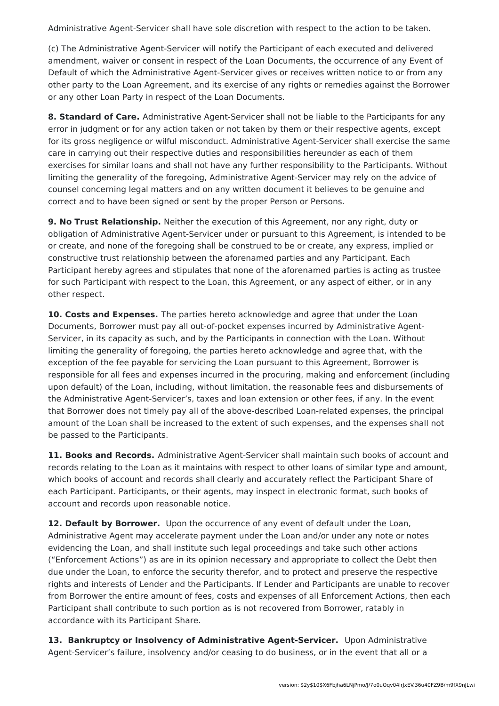Administrative Agent-Servicer shall have sole discretion with respect to the action to be taken.

(c) The Administrative Agent-Servicer will notify the Participant of each executed and delivered amendment, waiver or consent in respect of the Loan Documents, the occurrence of any Event of Default of which the Administrative Agent-Servicer gives or receives written notice to or from any other party to the Loan Agreement, and its exercise of any rights or remedies against the Borrower or any other Loan Party in respect of the Loan Documents.

**8. Standard of Care.** Administrative Agent-Servicer shall not be liable to the Participants for any error in judgment or for any action taken or not taken by them or their respective agents, except for its gross negligence or wilful misconduct. Administrative Agent-Servicer shall exercise the same care in carrying out their respective duties and responsibilities hereunder as each of them exercises for similar loans and shall not have any further responsibility to the Participants. Without limiting the generality of the foregoing, Administrative Agent-Servicer may rely on the advice of counsel concerning legal matters and on any written document it believes to be genuine and correct and to have been signed or sent by the proper Person or Persons.

**9. No Trust Relationship.** Neither the execution of this Agreement, nor any right, duty or obligation of Administrative Agent-Servicer under or pursuant to this Agreement, is intended to be or create, and none of the foregoing shall be construed to be or create, any express, implied or constructive trust relationship between the aforenamed parties and any Participant. Each Participant hereby agrees and stipulates that none of the aforenamed parties is acting as trustee for such Participant with respect to the Loan, this Agreement, or any aspect of either, or in any other respect.

**10. Costs and Expenses.** The parties hereto acknowledge and agree that under the Loan Documents, Borrower must pay all out-of-pocket expenses incurred by Administrative Agent-Servicer, in its capacity as such, and by the Participants in connection with the Loan. Without limiting the generality of foregoing, the parties hereto acknowledge and agree that, with the exception of the fee payable for servicing the Loan pursuant to this Agreement, Borrower is responsible for all fees and expenses incurred in the procuring, making and enforcement (including upon default) of the Loan, including, without limitation, the reasonable fees and disbursements of the Administrative Agent-Servicer's, taxes and loan extension or other fees, if any. In the event that Borrower does not timely pay all of the above-described Loan-related expenses, the principal amount of the Loan shall be increased to the extent of such expenses, and the expenses shall not be passed to the Participants.

**11. Books and Records.** Administrative Agent-Servicer shall maintain such books of account and records relating to the Loan as it maintains with respect to other loans of similar type and amount, which books of account and records shall clearly and accurately reflect the Participant Share of each Participant. Participants, or their agents, may inspect in electronic format, such books of account and records upon reasonable notice.

**12. Default by Borrower.** Upon the occurrence of any event of default under the Loan, Administrative Agent may accelerate payment under the Loan and/or under any note or notes evidencing the Loan, and shall institute such legal proceedings and take such other actions ("Enforcement Actions") as are in its opinion necessary and appropriate to collect the Debt then due under the Loan, to enforce the security therefor, and to protect and preserve the respective rights and interests of Lender and the Participants. If Lender and Participants are unable to recover from Borrower the entire amount of fees, costs and expenses of all Enforcement Actions, then each Participant shall contribute to such portion as is not recovered from Borrower, ratably in accordance with its Participant Share.

**13. Bankruptcy or Insolvency of Administrative Agent-Servicer.** Upon Administrative Agent-Servicer's failure, insolvency and/or ceasing to do business, or in the event that all or a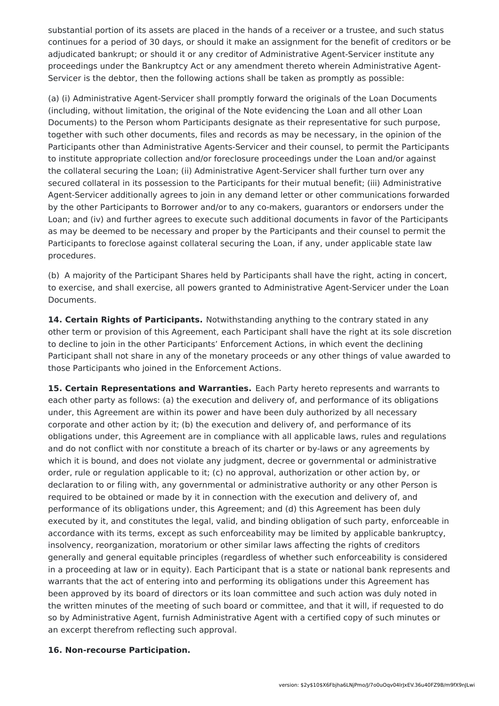substantial portion of its assets are placed in the hands of a receiver or a trustee, and such status continues for a period of 30 days, or should it make an assignment for the benefit of creditors or be adjudicated bankrupt; or should it or any creditor of Administrative Agent-Servicer institute any proceedings under the Bankruptcy Act or any amendment thereto wherein Administrative Agent-Servicer is the debtor, then the following actions shall be taken as promptly as possible:

(a) (i) Administrative Agent-Servicer shall promptly forward the originals of the Loan Documents (including, without limitation, the original of the Note evidencing the Loan and all other Loan Documents) to the Person whom Participants designate as their representative for such purpose, together with such other documents, files and records as may be necessary, in the opinion of the Participants other than Administrative Agents-Servicer and their counsel, to permit the Participants to institute appropriate collection and/or foreclosure proceedings under the Loan and/or against the collateral securing the Loan; (ii) Administrative Agent-Servicer shall further turn over any secured collateral in its possession to the Participants for their mutual benefit; (iii) Administrative Agent-Servicer additionally agrees to join in any demand letter or other communications forwarded by the other Participants to Borrower and/or to any co-makers, guarantors or endorsers under the Loan; and (iv) and further agrees to execute such additional documents in favor of the Participants as may be deemed to be necessary and proper by the Participants and their counsel to permit the Participants to foreclose against collateral securing the Loan, if any, under applicable state law procedures.

(b) A majority of the Participant Shares held by Participants shall have the right, acting in concert, to exercise, and shall exercise, all powers granted to Administrative Agent-Servicer under the Loan Documents.

**14. Certain Rights of Participants.** Notwithstanding anything to the contrary stated in any other term or provision of this Agreement, each Participant shall have the right at its sole discretion to decline to join in the other Participants' Enforcement Actions, in which event the declining Participant shall not share in any of the monetary proceeds or any other things of value awarded to those Participants who joined in the Enforcement Actions.

**15. Certain Representations and Warranties.** Each Party hereto represents and warrants to each other party as follows: (a) the execution and delivery of, and performance of its obligations under, this Agreement are within its power and have been duly authorized by all necessary corporate and other action by it; (b) the execution and delivery of, and performance of its obligations under, this Agreement are in compliance with all applicable laws, rules and regulations and do not conflict with nor constitute a breach of its charter or by-laws or any agreements by which it is bound, and does not violate any judgment, decree or governmental or administrative order, rule or regulation applicable to it; (c) no approval, authorization or other action by, or declaration to or filing with, any governmental or administrative authority or any other Person is required to be obtained or made by it in connection with the execution and delivery of, and performance of its obligations under, this Agreement; and (d) this Agreement has been duly executed by it, and constitutes the legal, valid, and binding obligation of such party, enforceable in accordance with its terms, except as such enforceability may be limited by applicable bankruptcy, insolvency, reorganization, moratorium or other similar laws affecting the rights of creditors generally and general equitable principles (regardless of whether such enforceability is considered in a proceeding at law or in equity). Each Participant that is a state or national bank represents and warrants that the act of entering into and performing its obligations under this Agreement has been approved by its board of directors or its loan committee and such action was duly noted in the written minutes of the meeting of such board or committee, and that it will, if requested to do so by Administrative Agent, furnish Administrative Agent with a certified copy of such minutes or an excerpt therefrom reflecting such approval.

#### **16. Non-recourse Participation.**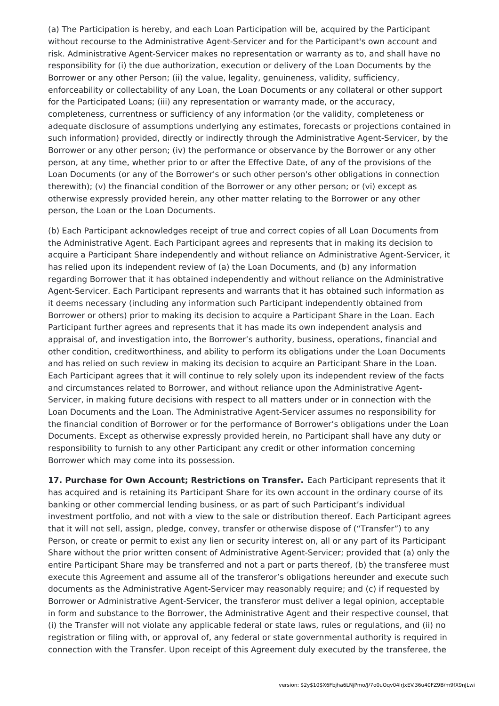(a) The Participation is hereby, and each Loan Participation will be, acquired by the Participant without recourse to the Administrative Agent-Servicer and for the Participant's own account and risk. Administrative Agent-Servicer makes no representation or warranty as to, and shall have no responsibility for (i) the due authorization, execution or delivery of the Loan Documents by the Borrower or any other Person; (ii) the value, legality, genuineness, validity, sufficiency, enforceability or collectability of any Loan, the Loan Documents or any collateral or other support for the Participated Loans; (iii) any representation or warranty made, or the accuracy, completeness, currentness or sufficiency of any information (or the validity, completeness or adequate disclosure of assumptions underlying any estimates, forecasts or projections contained in such information) provided, directly or indirectly through the Administrative Agent-Servicer, by the Borrower or any other person; (iv) the performance or observance by the Borrower or any other person, at any time, whether prior to or after the Effective Date, of any of the provisions of the Loan Documents (or any of the Borrower's or such other person's other obligations in connection therewith); (v) the financial condition of the Borrower or any other person; or (vi) except as otherwise expressly provided herein, any other matter relating to the Borrower or any other person, the Loan or the Loan Documents.

(b) Each Participant acknowledges receipt of true and correct copies of all Loan Documents from the Administrative Agent. Each Participant agrees and represents that in making its decision to acquire a Participant Share independently and without reliance on Administrative Agent-Servicer, it has relied upon its independent review of (a) the Loan Documents, and (b) any information regarding Borrower that it has obtained independently and without reliance on the Administrative Agent-Servicer. Each Participant represents and warrants that it has obtained such information as it deems necessary (including any information such Participant independently obtained from Borrower or others) prior to making its decision to acquire a Participant Share in the Loan. Each Participant further agrees and represents that it has made its own independent analysis and appraisal of, and investigation into, the Borrower's authority, business, operations, financial and other condition, creditworthiness, and ability to perform its obligations under the Loan Documents and has relied on such review in making its decision to acquire an Participant Share in the Loan. Each Participant agrees that it will continue to rely solely upon its independent review of the facts and circumstances related to Borrower, and without reliance upon the Administrative Agent-Servicer, in making future decisions with respect to all matters under or in connection with the Loan Documents and the Loan. The Administrative Agent-Servicer assumes no responsibility for the financial condition of Borrower or for the performance of Borrower's obligations under the Loan Documents. Except as otherwise expressly provided herein, no Participant shall have any duty or responsibility to furnish to any other Participant any credit or other information concerning Borrower which may come into its possession.

**17. Purchase for Own Account; Restrictions on Transfer.** Each Participant represents that it has acquired and is retaining its Participant Share for its own account in the ordinary course of its banking or other commercial lending business, or as part of such Participant's individual investment portfolio, and not with a view to the sale or distribution thereof. Each Participant agrees that it will not sell, assign, pledge, convey, transfer or otherwise dispose of ("Transfer") to any Person, or create or permit to exist any lien or security interest on, all or any part of its Participant Share without the prior written consent of Administrative Agent-Servicer; provided that (a) only the entire Participant Share may be transferred and not a part or parts thereof, (b) the transferee must execute this Agreement and assume all of the transferor's obligations hereunder and execute such documents as the Administrative Agent-Servicer may reasonably require; and (c) if requested by Borrower or Administrative Agent-Servicer, the transferor must deliver a legal opinion, acceptable in form and substance to the Borrower, the Administrative Agent and their respective counsel, that (i) the Transfer will not violate any applicable federal or state laws, rules or regulations, and (ii) no registration or filing with, or approval of, any federal or state governmental authority is required in connection with the Transfer. Upon receipt of this Agreement duly executed by the transferee, the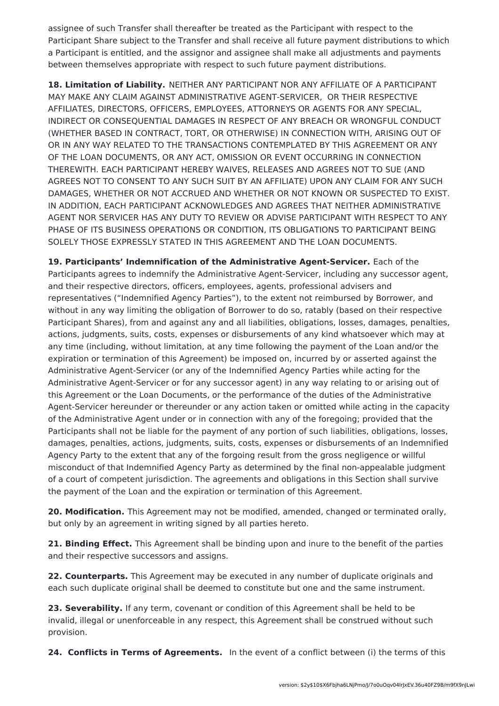assignee of such Transfer shall thereafter be treated as the Participant with respect to the Participant Share subject to the Transfer and shall receive all future payment distributions to which a Participant is entitled, and the assignor and assignee shall make all adjustments and payments between themselves appropriate with respect to such future payment distributions.

**18. Limitation of Liability.** NEITHER ANY PARTICIPANT NOR ANY AFFILIATE OF A PARTICIPANT MAY MAKE ANY CLAIM AGAINST ADMINISTRATIVE AGENT-SERVICER, OR THEIR RESPECTIVE AFFILIATES, DIRECTORS, OFFICERS, EMPLOYEES, ATTORNEYS OR AGENTS FOR ANY SPECIAL, INDIRECT OR CONSEQUENTIAL DAMAGES IN RESPECT OF ANY BREACH OR WRONGFUL CONDUCT (WHETHER BASED IN CONTRACT, TORT, OR OTHERWISE) IN CONNECTION WITH, ARISING OUT OF OR IN ANY WAY RELATED TO THE TRANSACTIONS CONTEMPLATED BY THIS AGREEMENT OR ANY OF THE LOAN DOCUMENTS, OR ANY ACT, OMISSION OR EVENT OCCURRING IN CONNECTION THEREWITH. EACH PARTICIPANT HEREBY WAIVES, RELEASES AND AGREES NOT TO SUE (AND AGREES NOT TO CONSENT TO ANY SUCH SUIT BY AN AFFILIATE) UPON ANY CLAIM FOR ANY SUCH DAMAGES, WHETHER OR NOT ACCRUED AND WHETHER OR NOT KNOWN OR SUSPECTED TO EXIST. IN ADDITION, EACH PARTICIPANT ACKNOWLEDGES AND AGREES THAT NEITHER ADMINISTRATIVE AGENT NOR SERVICER HAS ANY DUTY TO REVIEW OR ADVISE PARTICIPANT WITH RESPECT TO ANY PHASE OF ITS BUSINESS OPERATIONS OR CONDITION, ITS OBLIGATIONS TO PARTICIPANT BEING SOLELY THOSE EXPRESSLY STATED IN THIS AGREEMENT AND THE LOAN DOCUMENTS.

**19. Participants' Indemnification of the Administrative Agent-Servicer.** Each of the Participants agrees to indemnify the Administrative Agent-Servicer, including any successor agent, and their respective directors, officers, employees, agents, professional advisers and representatives ("Indemnified Agency Parties"), to the extent not reimbursed by Borrower, and without in any way limiting the obligation of Borrower to do so, ratably (based on their respective Participant Shares), from and against any and all liabilities, obligations, losses, damages, penalties, actions, judgments, suits, costs, expenses or disbursements of any kind whatsoever which may at any time (including, without limitation, at any time following the payment of the Loan and/or the expiration or termination of this Agreement) be imposed on, incurred by or asserted against the Administrative Agent-Servicer (or any of the Indemnified Agency Parties while acting for the Administrative Agent-Servicer or for any successor agent) in any way relating to or arising out of this Agreement or the Loan Documents, or the performance of the duties of the Administrative Agent-Servicer hereunder or thereunder or any action taken or omitted while acting in the capacity of the Administrative Agent under or in connection with any of the foregoing; provided that the Participants shall not be liable for the payment of any portion of such liabilities, obligations, losses, damages, penalties, actions, judgments, suits, costs, expenses or disbursements of an Indemnified Agency Party to the extent that any of the forgoing result from the gross negligence or willful misconduct of that Indemnified Agency Party as determined by the final non-appealable judgment of a court of competent jurisdiction. The agreements and obligations in this Section shall survive the payment of the Loan and the expiration or termination of this Agreement.

**20. Modification.** This Agreement may not be modified, amended, changed or terminated orally, but only by an agreement in writing signed by all parties hereto.

**21. Binding Effect.** This Agreement shall be binding upon and inure to the benefit of the parties and their respective successors and assigns.

**22. Counterparts.** This Agreement may be executed in any number of duplicate originals and each such duplicate original shall be deemed to constitute but one and the same instrument.

**23. Severability.** If any term, covenant or condition of this Agreement shall be held to be invalid, illegal or unenforceable in any respect, this Agreement shall be construed without such provision.

**24. Conflicts in Terms of Agreements.** In the event of a conflict between (i) the terms of this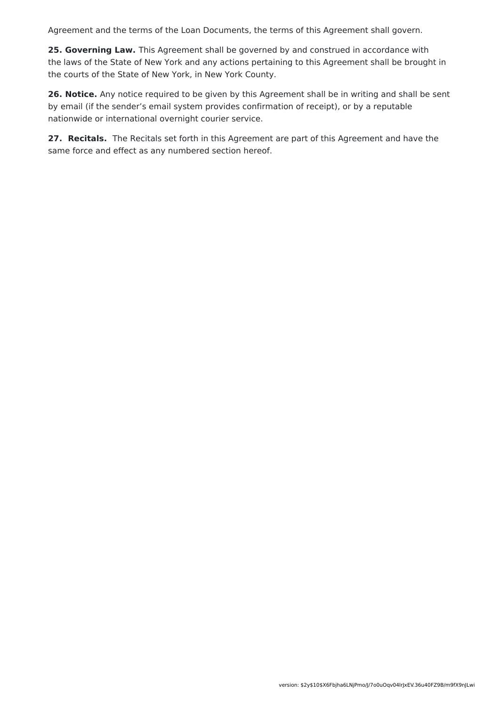Agreement and the terms of the Loan Documents, the terms of this Agreement shall govern.

**25. Governing Law.** This Agreement shall be governed by and construed in accordance with the laws of the State of New York and any actions pertaining to this Agreement shall be brought in the courts of the State of New York, in New York County.

**26. Notice.** Any notice required to be given by this Agreement shall be in writing and shall be sent by email (if the sender's email system provides confirmation of receipt), or by a reputable nationwide or international overnight courier service.

**27. Recitals.** The Recitals set forth in this Agreement are part of this Agreement and have the same force and effect as any numbered section hereof.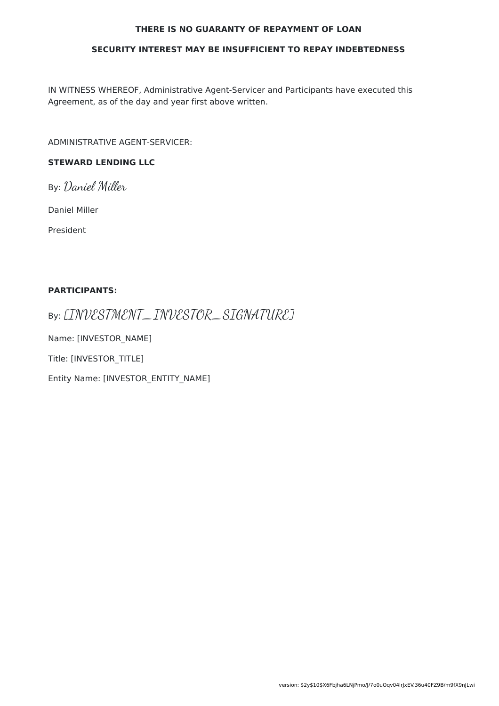#### **THERE IS NO GUARANTY OF REPAYMENT OF LOAN**

#### **SECURITY INTEREST MAY BE INSUFFICIENT TO REPAY INDEBTEDNESS**

IN WITNESS WHEREOF, Administrative Agent-Servicer and Participants have executed this Agreement, as of the day and year first above written.

ADMINISTRATIVE AGENT-SERVICER:

### **STEWARD LENDING LLC**

By: Daniel Miller

Daniel Miller

President

#### **PARTICIPANTS:**

By: [INVESTMENT\_INVESTOR\_SIGNATURE]

Name: [INVESTOR\_NAME]

Title: [INVESTOR\_TITLE]

Entity Name: [INVESTOR\_ENTITY\_NAME]